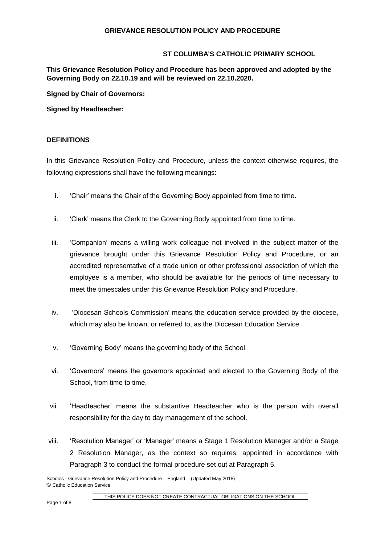## **ST COLUMBA'S CATHOLIC PRIMARY SCHOOL**

**This Grievance Resolution Policy and Procedure has been approved and adopted by the Governing Body on 22.10.19 and will be reviewed on 22.10.2020.**

**Signed by Chair of Governors:**

**Signed by Headteacher:**

## **DEFINITIONS**

In this Grievance Resolution Policy and Procedure, unless the context otherwise requires, the following expressions shall have the following meanings:

- i. 'Chair' means the Chair of the Governing Body appointed from time to time.
- ii. 'Clerk' means the Clerk to the Governing Body appointed from time to time.
- iii. 'Companion' means a willing work colleague not involved in the subject matter of the grievance brought under this Grievance Resolution Policy and Procedure, or an accredited representative of a trade union or other professional association of which the employee is a member, who should be available for the periods of time necessary to meet the timescales under this Grievance Resolution Policy and Procedure.
- iv. 'Diocesan Schools Commission' means the education service provided by the diocese, which may also be known, or referred to, as the Diocesan Education Service.
- v. 'Governing Body' means the governing body of the School.
- vi. 'Governors' means the governors appointed and elected to the Governing Body of the School, from time to time.
- vii. 'Headteacher' means the substantive Headteacher who is the person with overall responsibility for the day to day management of the school.
- viii. 'Resolution Manager' or 'Manager' means a Stage 1 Resolution Manager and/or a Stage 2 Resolution Manager, as the context so requires, appointed in accordance with Paragraph 3 to conduct the formal procedure set out at Paragraph 5.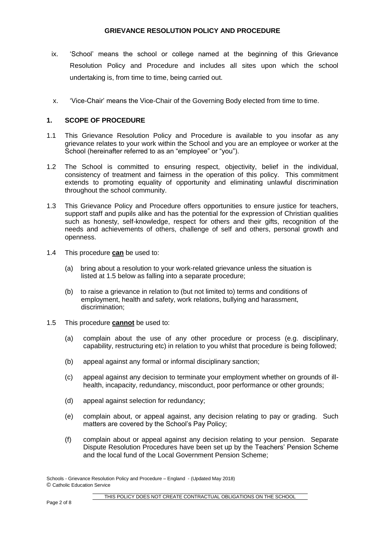- ix. 'School' means the school or college named at the beginning of this Grievance Resolution Policy and Procedure and includes all sites upon which the school undertaking is, from time to time, being carried out.
- x. 'Vice-Chair' means the Vice-Chair of the Governing Body elected from time to time.

## **1. SCOPE OF PROCEDURE**

- 1.1 This Grievance Resolution Policy and Procedure is available to you insofar as any grievance relates to your work within the School and you are an employee or worker at the School (hereinafter referred to as an "employee" or "you").
- 1.2 The School is committed to ensuring respect, objectivity, belief in the individual, consistency of treatment and fairness in the operation of this policy. This commitment extends to promoting equality of opportunity and eliminating unlawful discrimination throughout the school community.
- 1.3 This Grievance Policy and Procedure offers opportunities to ensure justice for teachers, support staff and pupils alike and has the potential for the expression of Christian qualities such as honesty, self-knowledge, respect for others and their gifts, recognition of the needs and achievements of others, challenge of self and others, personal growth and openness.
- 1.4 This procedure **can** be used to:
	- (a) bring about a resolution to your work-related grievance unless the situation is listed at 1.5 below as falling into a separate procedure;
	- (b) to raise a grievance in relation to (but not limited to) terms and conditions of employment, health and safety, work relations, bullying and harassment, discrimination;
- 1.5 This procedure **cannot** be used to:
	- (a) complain about the use of any other procedure or process (e.g. disciplinary, capability, restructuring etc) in relation to you whilst that procedure is being followed;
	- (b) appeal against any formal or informal disciplinary sanction;
	- (c) appeal against any decision to terminate your employment whether on grounds of illhealth, incapacity, redundancy, misconduct, poor performance or other grounds;
	- (d) appeal against selection for redundancy;
	- (e) complain about, or appeal against, any decision relating to pay or grading. Such matters are covered by the School's Pay Policy;
	- (f) complain about or appeal against any decision relating to your pension. Separate Dispute Resolution Procedures have been set up by the Teachers' Pension Scheme and the local fund of the Local Government Pension Scheme;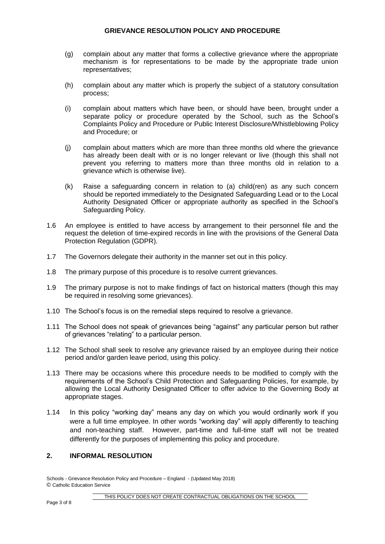- (g) complain about any matter that forms a collective grievance where the appropriate mechanism is for representations to be made by the appropriate trade union representatives;
- (h) complain about any matter which is properly the subject of a statutory consultation process;
- (i) complain about matters which have been, or should have been, brought under a separate policy or procedure operated by the School, such as the School's Complaints Policy and Procedure or Public Interest Disclosure/Whistleblowing Policy and Procedure; or
- (j) complain about matters which are more than three months old where the grievance has already been dealt with or is no longer relevant or live (though this shall not prevent you referring to matters more than three months old in relation to a grievance which is otherwise live).
- (k) Raise a safeguarding concern in relation to (a) child(ren) as any such concern should be reported immediately to the Designated Safeguarding Lead or to the Local Authority Designated Officer or appropriate authority as specified in the School's Safeguarding Policy.
- 1.6 An employee is entitled to have access by arrangement to their personnel file and the request the deletion of time-expired records in line with the provisions of the General Data Protection Regulation (GDPR).
- 1.7 The Governors delegate their authority in the manner set out in this policy.
- 1.8 The primary purpose of this procedure is to resolve current grievances.
- 1.9 The primary purpose is not to make findings of fact on historical matters (though this may be required in resolving some grievances).
- 1.10 The School's focus is on the remedial steps required to resolve a grievance.
- 1.11 The School does not speak of grievances being "against" any particular person but rather of grievances "relating" to a particular person.
- 1.12 The School shall seek to resolve any grievance raised by an employee during their notice period and/or garden leave period, using this policy.
- 1.13 There may be occasions where this procedure needs to be modified to comply with the requirements of the School's Child Protection and Safeguarding Policies, for example, by allowing the Local Authority Designated Officer to offer advice to the Governing Body at appropriate stages.
- 1.14 In this policy "working day" means any day on which you would ordinarily work if you were a full time employee. In other words "working day" will apply differently to teaching and non-teaching staff. However, part-time and full-time staff will not be treated differently for the purposes of implementing this policy and procedure.

## **2. INFORMAL RESOLUTION**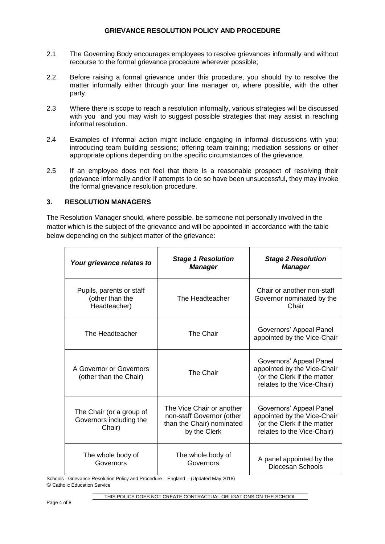- 2.1 The Governing Body encourages employees to resolve grievances informally and without recourse to the formal grievance procedure wherever possible;
- 2.2 Before raising a formal grievance under this procedure, you should try to resolve the matter informally either through your line manager or, where possible, with the other party.
- 2.3 Where there is scope to reach a resolution informally, various strategies will be discussed with you and you may wish to suggest possible strategies that may assist in reaching informal resolution.
- 2.4 Examples of informal action might include engaging in informal discussions with you; introducing team building sessions; offering team training; mediation sessions or other appropriate options depending on the specific circumstances of the grievance.
- 2.5 If an employee does not feel that there is a reasonable prospect of resolving their grievance informally and/or if attempts to do so have been unsuccessful, they may invoke the formal grievance resolution procedure.

# **3. RESOLUTION MANAGERS**

The Resolution Manager should, where possible, be someone not personally involved in the matter which is the subject of the grievance and will be appointed in accordance with the table below depending on the subject matter of the grievance:

| Your grievance relates to                                     | <b>Stage 1 Resolution</b><br><b>Manager</b>                                                         | <b>Stage 2 Resolution</b><br><b>Manager</b>                                                                         |
|---------------------------------------------------------------|-----------------------------------------------------------------------------------------------------|---------------------------------------------------------------------------------------------------------------------|
| Pupils, parents or staff<br>(other than the<br>Headteacher)   | The Headteacher                                                                                     | Chair or another non-staff<br>Governor nominated by the<br>Chair                                                    |
| The Headteacher                                               | <b>The Chair</b>                                                                                    | Governors' Appeal Panel<br>appointed by the Vice-Chair                                                              |
| A Governor or Governors<br>(other than the Chair)             | The Chair                                                                                           | Governors' Appeal Panel<br>appointed by the Vice-Chair<br>(or the Clerk if the matter<br>relates to the Vice-Chair) |
| The Chair (or a group of<br>Governors including the<br>Chair) | The Vice Chair or another<br>non-staff Governor (other<br>than the Chair) nominated<br>by the Clerk | Governors' Appeal Panel<br>appointed by the Vice-Chair<br>(or the Clerk if the matter<br>relates to the Vice-Chair) |
| The whole body of<br>Governors                                | The whole body of<br>Governors                                                                      | A panel appointed by the<br>Diocesan Schools                                                                        |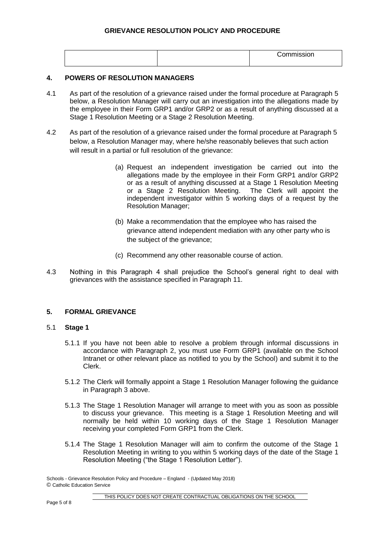|  | $\cdots$ |
|--|----------|
|  |          |

### **4. POWERS OF RESOLUTION MANAGERS**

- 4.1 As part of the resolution of a grievance raised under the formal procedure at Paragraph 5 below, a Resolution Manager will carry out an investigation into the allegations made by the employee in their Form GRP1 and/or GRP2 or as a result of anything discussed at a Stage 1 Resolution Meeting or a Stage 2 Resolution Meeting.
- 4.2 As part of the resolution of a grievance raised under the formal procedure at Paragraph 5 below, a Resolution Manager may, where he/she reasonably believes that such action will result in a partial or full resolution of the grievance:
	- (a) Request an independent investigation be carried out into the allegations made by the employee in their Form GRP1 and/or GRP2 or as a result of anything discussed at a Stage 1 Resolution Meeting or a Stage 2 Resolution Meeting. The Clerk will appoint the independent investigator within 5 working days of a request by the Resolution Manager;
	- (b) Make a recommendation that the employee who has raised the grievance attend independent mediation with any other party who is the subject of the grievance;
	- (c) Recommend any other reasonable course of action.
- 4.3 Nothing in this Paragraph 4 shall prejudice the School's general right to deal with grievances with the assistance specified in Paragraph 11.

### **5. FORMAL GRIEVANCE**

### 5.1 **Stage 1**

- 5.1.1 If you have not been able to resolve a problem through informal discussions in accordance with Paragraph 2, you must use Form GRP1 (available on the School Intranet or other relevant place as notified to you by the School) and submit it to the Clerk.
- 5.1.2 The Clerk will formally appoint a Stage 1 Resolution Manager following the guidance in Paragraph 3 above.
- 5.1.3 The Stage 1 Resolution Manager will arrange to meet with you as soon as possible to discuss your grievance. This meeting is a Stage 1 Resolution Meeting and will normally be held within 10 working days of the Stage 1 Resolution Manager receiving your completed Form GRP1 from the Clerk.
- 5.1.4 The Stage 1 Resolution Manager will aim to confirm the outcome of the Stage 1 Resolution Meeting in writing to you within 5 working days of the date of the Stage 1 Resolution Meeting ("the Stage 1 Resolution Letter").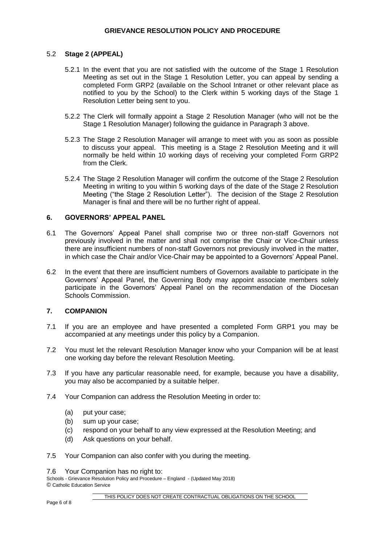## 5.2 **Stage 2 (APPEAL)**

- 5.2.1 In the event that you are not satisfied with the outcome of the Stage 1 Resolution Meeting as set out in the Stage 1 Resolution Letter, you can appeal by sending a completed Form GRP2 (available on the School Intranet or other relevant place as notified to you by the School) to the Clerk within 5 working days of the Stage 1 Resolution Letter being sent to you.
- 5.2.2 The Clerk will formally appoint a Stage 2 Resolution Manager (who will not be the Stage 1 Resolution Manager) following the guidance in Paragraph 3 above.
- 5.2.3 The Stage 2 Resolution Manager will arrange to meet with you as soon as possible to discuss your appeal. This meeting is a Stage 2 Resolution Meeting and it will normally be held within 10 working days of receiving your completed Form GRP2 from the Clerk.
- 5.2.4 The Stage 2 Resolution Manager will confirm the outcome of the Stage 2 Resolution Meeting in writing to you within 5 working days of the date of the Stage 2 Resolution Meeting ("the Stage 2 Resolution Letter"). The decision of the Stage 2 Resolution Manager is final and there will be no further right of appeal.

### **6. GOVERNORS' APPEAL PANEL**

- 6.1 The Governors' Appeal Panel shall comprise two or three non-staff Governors not previously involved in the matter and shall not comprise the Chair or Vice-Chair unless there are insufficient numbers of non-staff Governors not previously involved in the matter, in which case the Chair and/or Vice-Chair may be appointed to a Governors' Appeal Panel.
- 6.2 In the event that there are insufficient numbers of Governors available to participate in the Governors' Appeal Panel, the Governing Body may appoint associate members solely participate in the Governors' Appeal Panel on the recommendation of the Diocesan Schools Commission.

# **7. COMPANION**

- 7.1 If you are an employee and have presented a completed Form GRP1 you may be accompanied at any meetings under this policy by a Companion.
- 7.2 You must let the relevant Resolution Manager know who your Companion will be at least one working day before the relevant Resolution Meeting.
- 7.3 If you have any particular reasonable need, for example, because you have a disability, you may also be accompanied by a suitable helper.
- 7.4 Your Companion can address the Resolution Meeting in order to:
	- (a) put your case;
	- (b) sum up your case;
	- (c) respond on your behalf to any view expressed at the Resolution Meeting; and
	- (d) Ask questions on your behalf.
- 7.5 Your Companion can also confer with you during the meeting.
- 7.6 Your Companion has no right to:

Schools - Grievance Resolution Policy and Procedure – England - (Updated May 2018) © Catholic Education Service

THIS POLICY DOES NOT CREATE CONTRACTUAL OBLIGATIONS ON THE SCHOOL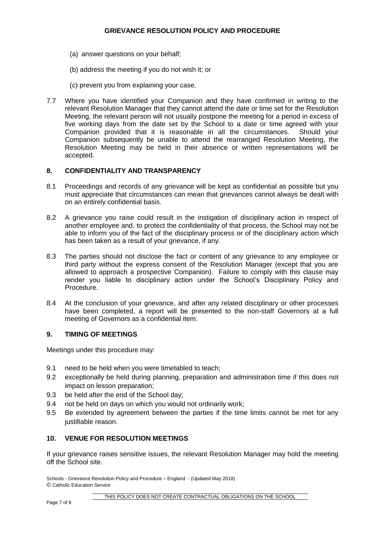- (a) answer questions on your behalf;
- (b) address the meeting if you do not wish it; or
- (c) prevent you from explaining your case.
- 7.7 Where you have identified your Companion and they have confirmed in writing to the relevant Resolution Manager that they cannot attend the date or time set for the Resolution Meeting, the relevant person will not usually postpone the meeting for a period in excess of five working days from the date set by the School to a date or time agreed with your Companion provided that it is reasonable in all the circumstances. Should your Companion subsequently be unable to attend the rearranged Resolution Meeting, the Resolution Meeting may be held in their absence or written representations will be accepted.

## **8. CONFIDENTIALITY AND TRANSPARENCY**

- 8.1 Proceedings and records of any grievance will be kept as confidential as possible but you must appreciate that circumstances can mean that grievances cannot always be dealt with on an entirely confidential basis.
- 8.2 A grievance you raise could result in the instigation of disciplinary action in respect of another employee and, to protect the confidentiality of that process, the School may not be able to inform you of the fact of the disciplinary process or of the disciplinary action which has been taken as a result of your grievance, if any.
- 8.3 The parties should not disclose the fact or content of any grievance to any employee or third party without the express consent of the Resolution Manager (except that you are allowed to approach a prospective Companion). Failure to comply with this clause may render you liable to disciplinary action under the School's Disciplinary Policy and Procedure.
- 8.4 At the conclusion of your grievance, and after any related disciplinary or other processes have been completed, a report will be presented to the non-staff Governors at a full meeting of Governors as a confidential item.

### **9. TIMING OF MEETINGS**

Meetings under this procedure may:

- 9.1 need to be held when you were timetabled to teach;
- 9.2 exceptionally be held during planning, preparation and administration time if this does not impact on lesson preparation;
- 9.3 be held after the end of the School day;
- 9.4 not be held on days on which you would not ordinarily work;
- 9.5 Be extended by agreement between the parties if the time limits cannot be met for any justifiable reason.

# **10. VENUE FOR RESOLUTION MEETINGS**

If your grievance raises sensitive issues, the relevant Resolution Manager may hold the meeting off the School site.

Schools - Grievance Resolution Policy and Procedure – England - (Updated May 2018) © Catholic Education Service

THIS POLICY DOES NOT CREATE CONTRACTUAL OBLIGATIONS ON THE SCHOOL